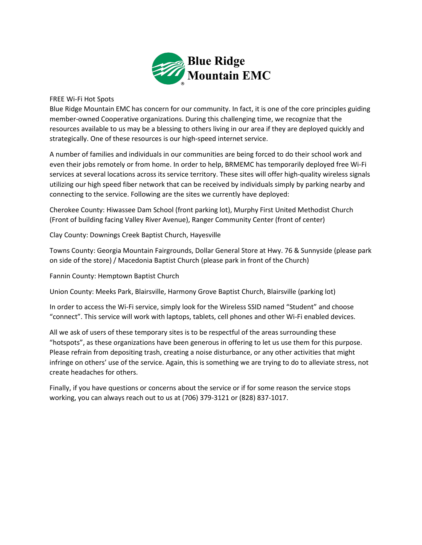

## FREE Wi-Fi Hot Spots

Blue Ridge Mountain EMC has concern for our community. In fact, it is one of the core principles guiding member-owned Cooperative organizations. During this challenging time, we recognize that the resources available to us may be a blessing to others living in our area if they are deployed quickly and strategically. One of these resources is our high-speed internet service.

A number of families and individuals in our communities are being forced to do their school work and even their jobs remotely or from home. In order to help, BRMEMC has temporarily deployed free Wi-Fi services at several locations across its service territory. These sites will offer high-quality wireless signals utilizing our high speed fiber network that can be received by individuals simply by parking nearby and connecting to the service. Following are the sites we currently have deployed:

Cherokee County: Hiwassee Dam School (front parking lot), Murphy First United Methodist Church (Front of building facing Valley River Avenue), Ranger Community Center (front of center)

Clay County: Downings Creek Baptist Church, Hayesville

Towns County: Georgia Mountain Fairgrounds, Dollar General Store at Hwy. 76 & Sunnyside (please park on side of the store) / Macedonia Baptist Church (please park in front of the Church)

Fannin County: Hemptown Baptist Church

Union County: Meeks Park, Blairsville, Harmony Grove Baptist Church, Blairsville (parking lot)

In order to access the Wi-Fi service, simply look for the Wireless SSID named "Student" and choose "connect". This service will work with laptops, tablets, cell phones and other Wi-Fi enabled devices.

All we ask of users of these temporary sites is to be respectful of the areas surrounding these "hotspots", as these organizations have been generous in offering to let us use them for this purpose. Please refrain from depositing trash, creating a noise disturbance, or any other activities that might infringe on others' use of the service. Again, this is something we are trying to do to alleviate stress, not create headaches for others.

Finally, if you have questions or concerns about the service or if for some reason the service stops working, you can always reach out to us at (706) 379-3121 or (828) 837-1017.